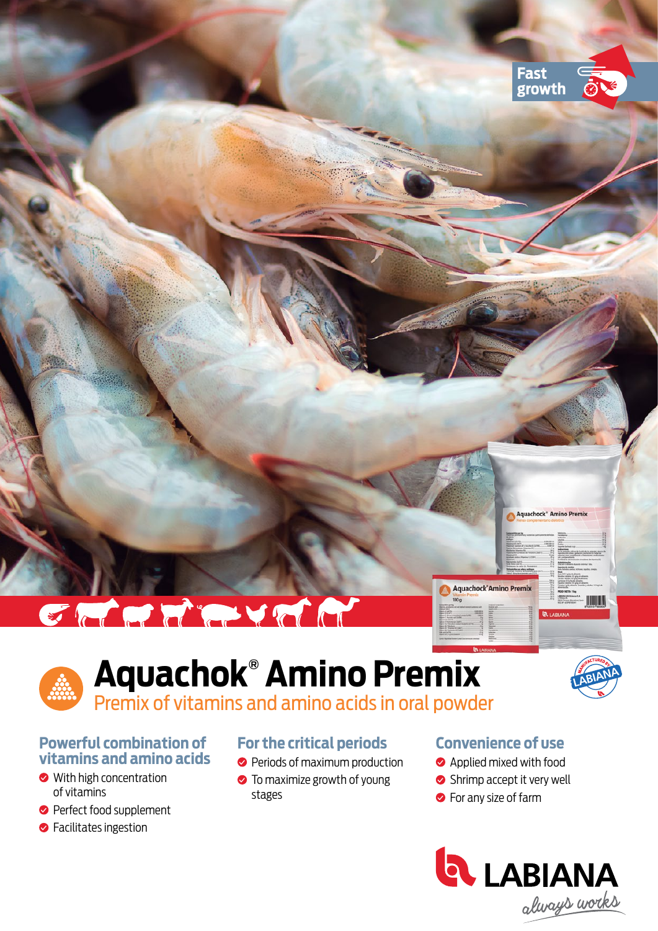

# E a de l'article

# **Aquachok® Amino Premix** Premix of vitamins and amino acids in oral powder



### **Powerful combination of vitamins and amino acids**

- With high concentration of vitamins
- **Perfect food supplement**
- **S** Facilitates ingestion

# **For the critical periods**

- Periods of maximum production
- **•** To maximize growth of young stages

# **Convenience of use**

- **Applied mixed with food**
- Shrimp accept it very well
- **•** For any size of farm